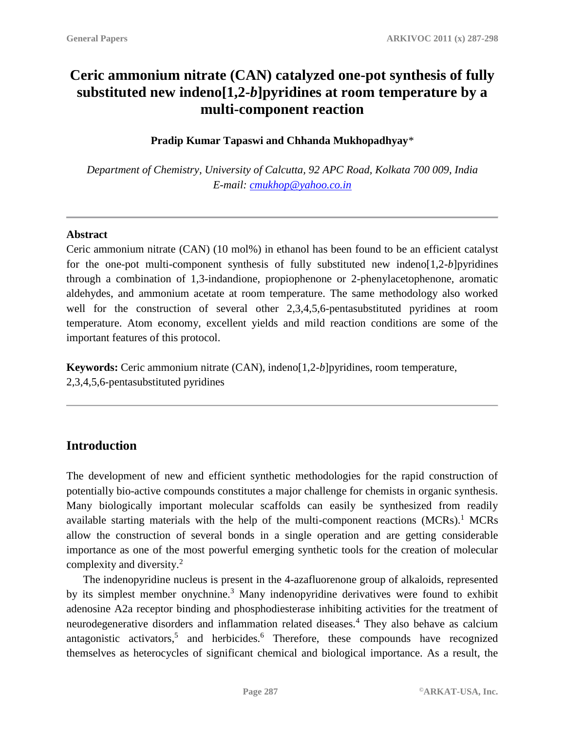# **Ceric ammonium nitrate (CAN) catalyzed one-pot synthesis of fully substituted new indeno[1,2-***b***]pyridines at room temperature by a multi-component reaction**

#### **Pradip Kumar Tapaswi and Chhanda Mukhopadhyay**\*

*Department of Chemistry, University of Calcutta, 92 APC Road, Kolkata 700 009, India E-mail: [cmukhop@yahoo.co.in](mailto:cmukhop@yahoo.co.in)*

#### **Abstract**

Ceric ammonium nitrate (CAN) (10 mol%) in ethanol has been found to be an efficient catalyst for the one-pot multi-component synthesis of fully substituted new indeno[1,2-*b*]pyridines through a combination of 1,3-indandione, propiophenone or 2-phenylacetophenone, aromatic aldehydes, and ammonium acetate at room temperature. The same methodology also worked well for the construction of several other 2,3,4,5,6-pentasubstituted pyridines at room temperature. Atom economy, excellent yields and mild reaction conditions are some of the important features of this protocol.

**Keywords:** Ceric ammonium nitrate (CAN), indeno[1,2-*b*]pyridines, room temperature, 2,3,4,5,6-pentasubstituted pyridines

# **Introduction**

The development of new and efficient synthetic methodologies for the rapid construction of potentially bio-active compounds constitutes a major challenge for chemists in organic synthesis. Many biologically important molecular scaffolds can easily be synthesized from readily available starting materials with the help of the multi-component reactions (MCRs).<sup>1</sup> MCRs allow the construction of several bonds in a single operation and are getting considerable importance as one of the most powerful emerging synthetic tools for the creation of molecular complexity and diversity.<sup>2</sup>

The indenopyridine nucleus is present in the 4-azafluorenone group of alkaloids, represented by its simplest member onychnine.<sup>3</sup> Many indenopyridine derivatives were found to exhibit adenosine A2a receptor binding and phosphodiesterase inhibiting activities for the treatment of neurodegenerative disorders and inflammation related diseases.<sup>4</sup> They also behave as calcium antagonistic activators,<sup>5</sup> and herbicides.<sup>6</sup> Therefore, these compounds have recognized themselves as heterocycles of significant chemical and biological importance. As a result, the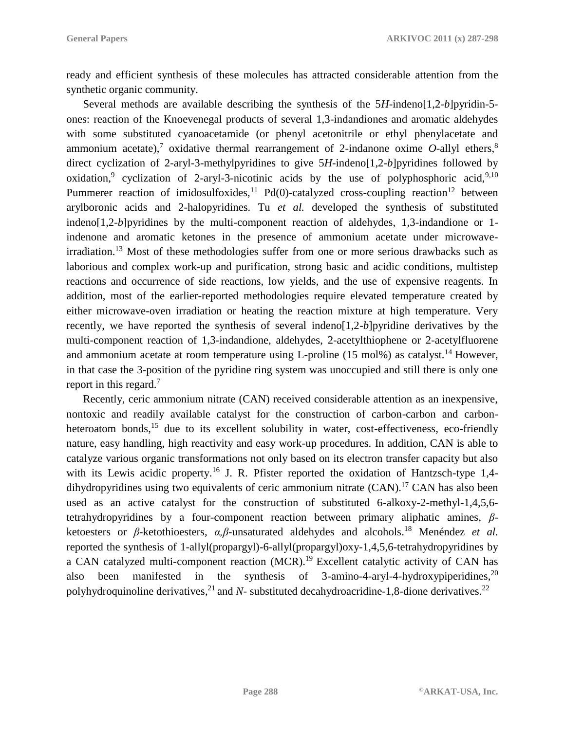ready and efficient synthesis of these molecules has attracted considerable attention from the synthetic organic community.

Several methods are available describing the synthesis of the 5*H*-indeno[1,2-*b*]pyridin-5 ones: reaction of the Knoevenegal products of several 1,3-indandiones and aromatic aldehydes with some substituted cyanoacetamide (or phenyl acetonitrile or ethyl phenylacetate and ammonium acetate),<sup>7</sup> oxidative thermal rearrangement of 2-indanone oxime  $O$ -allyl ethers,<sup>8</sup> direct cyclization of 2-aryl-3-methylpyridines to give 5*H*-indeno[1,2-*b*]pyridines followed by oxidation,<sup>9</sup> cyclization of 2-aryl-3-nicotinic acids by the use of polyphosphoric acid,<sup>9,10</sup> Pummerer reaction of imidosulfoxides,<sup>11</sup> Pd(0)-catalyzed cross-coupling reaction<sup>12</sup> between arylboronic acids and 2-halopyridines. Tu *et al.* developed the synthesis of substituted indeno[1,2-*b*]pyridines by the multi-component reaction of aldehydes, 1,3-indandione or 1 indenone and aromatic ketones in the presence of ammonium acetate under microwaveirradiation.<sup>13</sup> Most of these methodologies suffer from one or more serious drawbacks such as laborious and complex work-up and purification, strong basic and acidic conditions, multistep reactions and occurrence of side reactions, low yields, and the use of expensive reagents. In addition, most of the earlier-reported methodologies require elevated temperature created by either microwave-oven irradiation or heating the reaction mixture at high temperature. Very recently, we have reported the synthesis of several indeno[1,2-*b*]pyridine derivatives by the multi-component reaction of 1,3-indandione, aldehydes, 2-acetylthiophene or 2-acetylfluorene and ammonium acetate at room temperature using L-proline  $(15 \text{ mol})$  as catalyst.<sup>14</sup> However, in that case the 3-position of the pyridine ring system was unoccupied and still there is only one report in this regard.<sup>7</sup>

Recently, ceric ammonium nitrate (CAN) received considerable attention as an inexpensive, nontoxic and readily available catalyst for the construction of carbon-carbon and carbonheteroatom bonds,<sup>15</sup> due to its excellent solubility in water, cost-effectiveness, eco-friendly nature, easy handling, high reactivity and easy work-up procedures. In addition, CAN is able to catalyze various organic transformations not only based on its electron transfer capacity but also with its Lewis acidic property.<sup>16</sup> J. R. Pfister reported the oxidation of Hantzsch-type 1,4dihydropyridines using two equivalents of ceric ammonium nitrate  $(CAN)$ .<sup>17</sup> CAN has also been used as an active catalyst for the construction of substituted 6-alkoxy-2-methyl-1,4,5,6 tetrahydropyridines by a four-component reaction between primary aliphatic amines, *β*ketoesters or *β*-ketothioesters, *α,β*-unsaturated aldehydes and alcohols.<sup>18</sup> Menéndez *et al.* reported the synthesis of 1-allyl(propargyl)-6-allyl(propargyl)oxy-1,4,5,6-tetrahydropyridines by a CAN catalyzed multi-component reaction (MCR).<sup>19</sup> Excellent catalytic activity of CAN has also been manifested in the synthesis of 3-amino-4-aryl-4-hydroxypiperidines,  $20$ polyhydroquinoline derivatives,<sup>21</sup> and *N*- substituted decahydroacridine-1,8-dione derivatives.<sup>22</sup>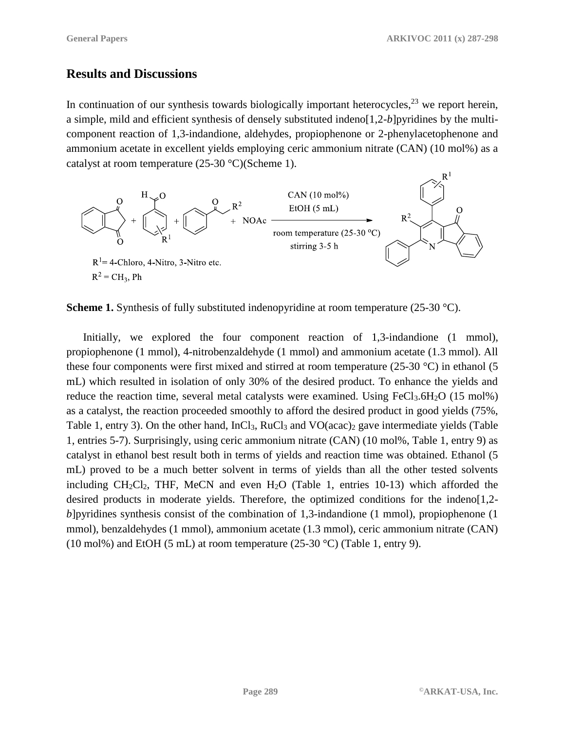## **Results and Discussions**

In continuation of our synthesis towards biologically important heterocycles,  $2<sup>3</sup>$  we report herein, a simple, mild and efficient synthesis of densely substituted indeno[1,2-*b*]pyridines by the multicomponent reaction of 1,3-indandione, aldehydes, propiophenone or 2-phenylacetophenone and ammonium acetate in excellent yields employing ceric ammonium nitrate (CAN) (10 mol%) as a catalyst at room temperature (25-30 °C)(Scheme 1).



**Scheme 1.** Synthesis of fully substituted indenopyridine at room temperature (25-30 °C).

Initially, we explored the four component reaction of 1,3-indandione (1 mmol), propiophenone (1 mmol), 4-nitrobenzaldehyde (1 mmol) and ammonium acetate (1.3 mmol). All these four components were first mixed and stirred at room temperature (25-30 °C) in ethanol (5 mL) which resulted in isolation of only 30% of the desired product. To enhance the yields and reduce the reaction time, several metal catalysts were examined. Using FeCl<sub>3</sub>.6H<sub>2</sub>O (15 mol%) as a catalyst, the reaction proceeded smoothly to afford the desired product in good yields (75%, Table 1, entry 3). On the other hand, InCl<sub>3</sub>, RuCl<sub>3</sub> and VO(acac)<sub>2</sub> gave intermediate yields (Table 1, entries 5-7). Surprisingly, using ceric ammonium nitrate (CAN) (10 mol%, Table 1, entry 9) as catalyst in ethanol best result both in terms of yields and reaction time was obtained. Ethanol (5 mL) proved to be a much better solvent in terms of yields than all the other tested solvents including  $CH_2Cl_2$ , THF, MeCN and even  $H_2O$  (Table 1, entries 10-13) which afforded the desired products in moderate yields. Therefore, the optimized conditions for the indeno[1,2 *b*]pyridines synthesis consist of the combination of 1,3-indandione (1 mmol), propiophenone (1 mmol), benzaldehydes (1 mmol), ammonium acetate (1.3 mmol), ceric ammonium nitrate (CAN) (10 mol%) and EtOH (5 mL) at room temperature (25-30 °C) (Table 1, entry 9).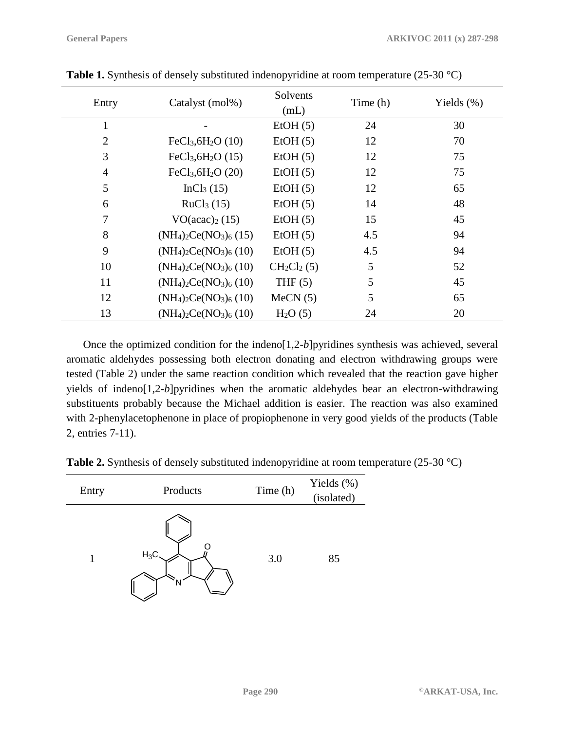| Entry          | Catalyst (mol%)                           | Solvents<br>(mL)    | Time (h) | Yields $(\%)$ |
|----------------|-------------------------------------------|---------------------|----------|---------------|
|                |                                           | EtOH(5)             | 24       | 30            |
| $\overline{2}$ | FeCl <sub>3</sub> , 6H <sub>2</sub> O(10) | EtOH(5)             | 12       | 70            |
| 3              | $FeCl3, 6H2O (15)$                        | EtOH(5)             | 12       | 75            |
| 4              | $FeCl3, 6H2O (20)$                        | EtOH(5)             | 12       | 75            |
| 5              | InCl <sub>3</sub> (15)                    | EtOH(5)             | 12       | 65            |
| 6              | RuCl <sub>3</sub> (15)                    | EtOH(5)             | 14       | 48            |
| 7              | VO (acac) <sub>2</sub> (15)               | EtOH(5)             | 15       | 45            |
| 8              | $(NH_4)_2Ce(NO_3)_6(15)$                  | EtOH(5)             | 4.5      | 94            |
| 9              | $(NH_4)_2Ce(NO_3)_6(10)$                  | EtOH(5)             | 4.5      | 94            |
| 10             | $(NH_4)_2Ce(NO_3)_6(10)$                  | $CH_2Cl_2(5)$       | 5        | 52            |
| 11             | $(NH_4)_2Ce(NO_3)_6(10)$                  | THF $(5)$           | 5        | 45            |
| 12             | $(NH_4)_2Ce(NO_3)_6(10)$                  | MeCN(5)             | 5        | 65            |
| 13             | $(NH_4)_2Ce(NO_3)_6(10)$                  | H <sub>2</sub> O(5) | 24       | 20            |

**Table 1.** Synthesis of densely substituted indenopyridine at room temperature (25-30 °C)

Once the optimized condition for the indeno[1,2-*b*]pyridines synthesis was achieved, several aromatic aldehydes possessing both electron donating and electron withdrawing groups were tested (Table 2) under the same reaction condition which revealed that the reaction gave higher yields of indeno[1,2-*b*]pyridines when the aromatic aldehydes bear an electron-withdrawing substituents probably because the Michael addition is easier. The reaction was also examined with 2-phenylacetophenone in place of propiophenone in very good yields of the products (Table 2, entries 7-11).

|  | <b>Table 2.</b> Synthesis of densely substituted indenopyridine at room temperature (25-30 $^{\circ}$ C) |  |
|--|----------------------------------------------------------------------------------------------------------|--|
|--|----------------------------------------------------------------------------------------------------------|--|

| Entry | Products | Time (h) | Yields (%)<br>(isolated) |
|-------|----------|----------|--------------------------|
| 1     | $H_3C$ . | 3.0      | 85                       |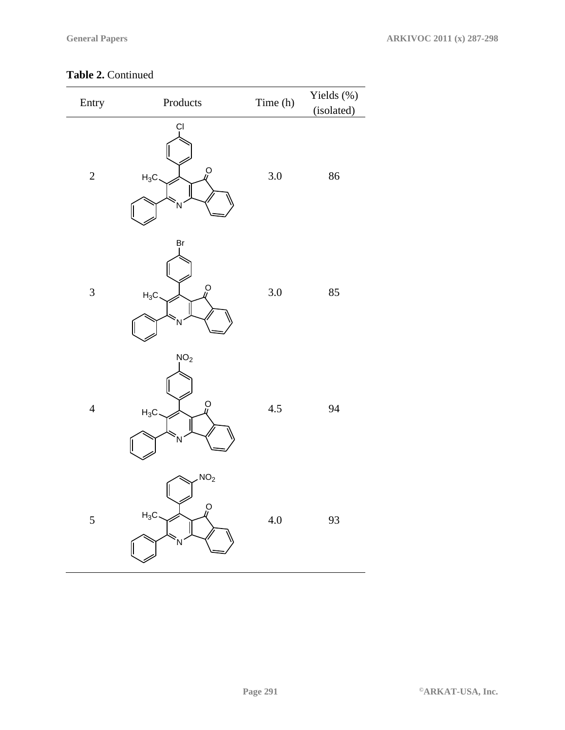#### **Table 2.** Continued

| Entry          | Products                                      | Time (h) | Yields (%)<br>(isolated) |
|----------------|-----------------------------------------------|----------|--------------------------|
| $\overline{c}$ | Ċl<br>$\overline{O}$<br>$H_3C$<br>N           | $3.0\,$  | 86                       |
| 3              | Br<br>$\overline{O}$<br>$H_3C$<br>Ń           | 3.0      | 85                       |
| $\overline{4}$ | NO <sub>2</sub><br>0<br>ll<br>$H_3C$<br>Ń     | 4.5      | 94                       |
| 5              | NO <sub>2</sub><br>o<br>W<br>$H_3C$<br>.<br>N | $4.0\,$  | 93                       |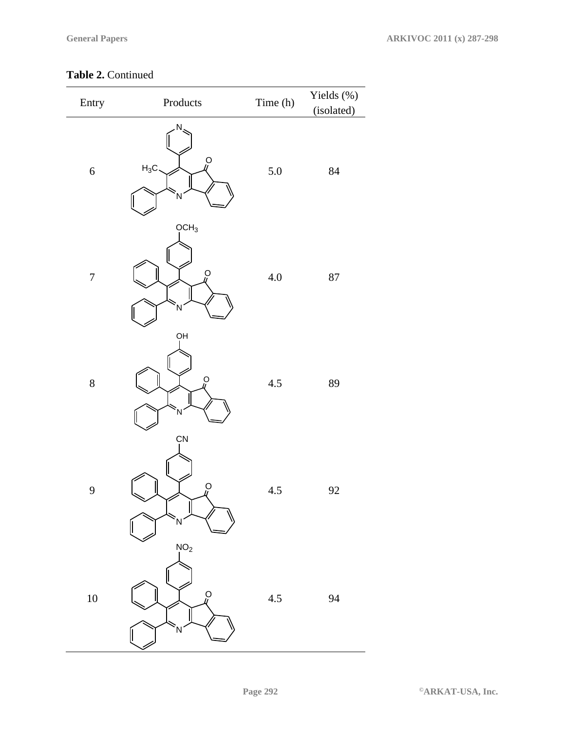#### **Table 2.** Continued

| Entry            | Products                                | Time (h) | Yields (%)<br>(isolated) |
|------------------|-----------------------------------------|----------|--------------------------|
| $\boldsymbol{6}$ | N<br>$\mathcal{Q}$<br>$H_3C$<br>N       | $5.0\,$  | 84                       |
| $\overline{7}$   | OCH <sub>3</sub><br>$\overline{O}$<br>N | $4.0\,$  | $87\,$                   |
| $\boldsymbol{8}$ | QН<br>o<br>W<br>N                       | 4.5      | 89                       |
| 9                | ÇN<br>O<br>4<br>N                       | $4.5\,$  | 92                       |
| 10               | NO <sub>2</sub><br>$\Omega$<br>N        | 4.5      | 94                       |

**Page 292 ©ARKAT-USA, Inc.**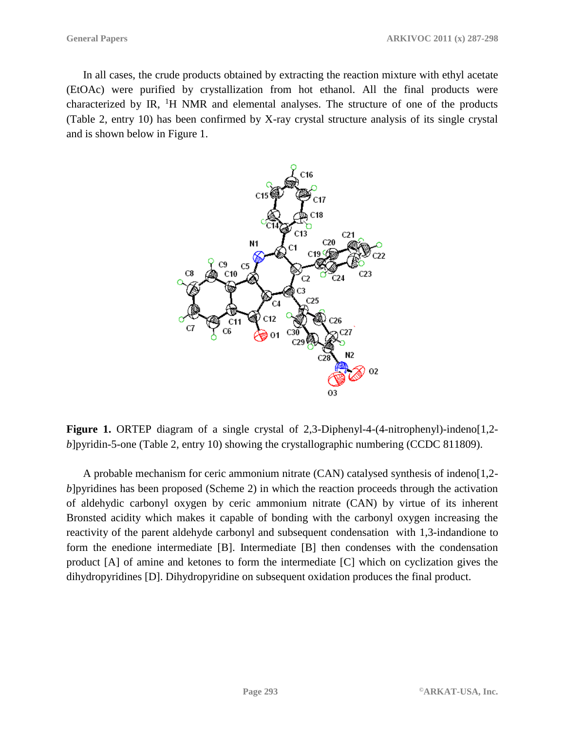In all cases, the crude products obtained by extracting the reaction mixture with ethyl acetate (EtOAc) were purified by crystallization from hot ethanol. All the final products were characterized by IR,  ${}^{1}H$  NMR and elemental analyses. The structure of one of the products (Table 2, entry 10) has been confirmed by X-ray crystal structure analysis of its single crystal and is shown below in Figure 1.



Figure 1. ORTEP diagram of a single crystal of 2,3-Diphenyl-4-(4-nitrophenyl)-indeno[1,2*b*]pyridin-5-one (Table 2, entry 10) showing the crystallographic numbering (CCDC 811809).

A probable mechanism for ceric ammonium nitrate (CAN) catalysed synthesis of indeno[1,2 *b*]pyridines has been proposed (Scheme 2) in which the reaction proceeds through the activation of aldehydic carbonyl oxygen by ceric ammonium nitrate (CAN) by virtue of its inherent Bronsted acidity which makes it capable of bonding with the carbonyl oxygen increasing the reactivity of the parent aldehyde carbonyl and subsequent condensation with 1,3-indandione to form the enedione intermediate [B]. Intermediate [B] then condenses with the condensation product [A] of amine and ketones to form the intermediate [C] which on cyclization gives the dihydropyridines [D]. Dihydropyridine on subsequent oxidation produces the final product.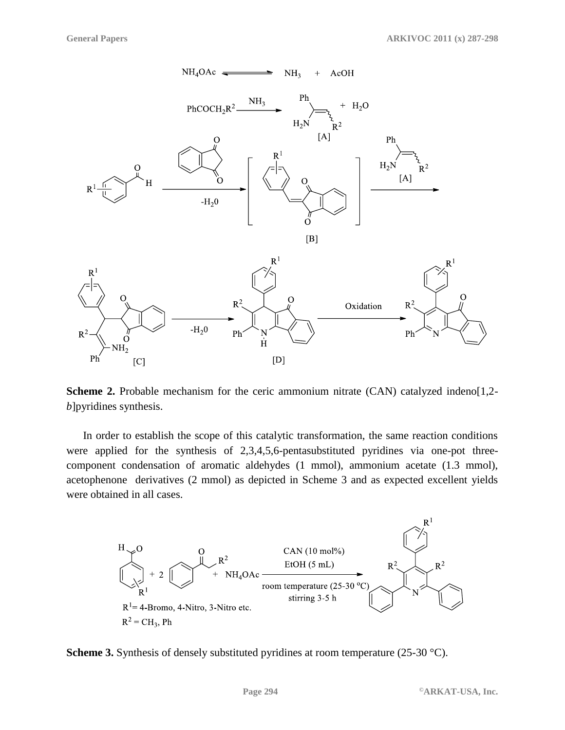

**Scheme 2.** Probable mechanism for the ceric ammonium nitrate (CAN) catalyzed indeno[1,2*b*]pyridines synthesis.

In order to establish the scope of this catalytic transformation, the same reaction conditions were applied for the synthesis of 2,3,4,5,6-pentasubstituted pyridines via one-pot threecomponent condensation of aromatic aldehydes (1 mmol), ammonium acetate (1.3 mmol), acetophenone derivatives (2 mmol) as depicted in Scheme 3 and as expected excellent yields were obtained in all cases.



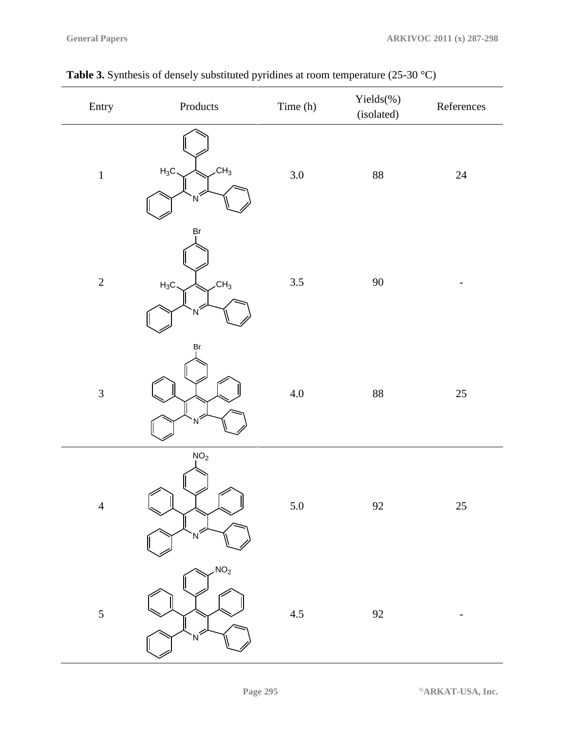| Entry          | $\label{p:p:1} {\hbox{Products}}$        | Time (h) | Yields(%)<br>(isolated) | ${\bf References}$       |
|----------------|------------------------------------------|----------|-------------------------|--------------------------|
| $\,1$          | CH <sub>3</sub><br>$H_3C$<br>N           | 3.0      | $88\,$                  | $24\,$                   |
| $\overline{c}$ | Br<br>CH <sub>3</sub><br>$H_3C$<br>$N^2$ | 3.5      | $90\,$                  |                          |
| $\overline{3}$ | Вr<br>'N                                 | $4.0\,$  | $88\,$                  | $25\,$                   |
| $\overline{4}$ | NO <sub>2</sub>                          | $5.0\,$  | 92                      | 25                       |
| 5              | NO <sub>2</sub><br>N                     | $4.5\,$  | 92                      | $\overline{\phantom{a}}$ |

| <b>Table 3.</b> Synthesis of densely substituted pyridines at room temperature $(25-30 \degree C)$ |  |
|----------------------------------------------------------------------------------------------------|--|
|                                                                                                    |  |

**Page 295 ©ARKAT-USA, Inc.**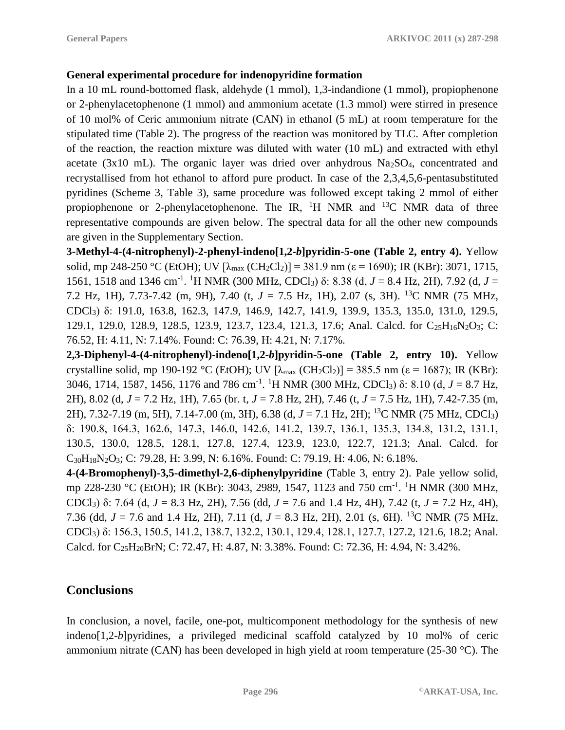#### **General experimental procedure for indenopyridine formation**

In a 10 mL round-bottomed flask, aldehyde (1 mmol), 1,3-indandione (1 mmol), propiophenone or 2-phenylacetophenone (1 mmol) and ammonium acetate (1.3 mmol) were stirred in presence of 10 mol% of Ceric ammonium nitrate (CAN) in ethanol (5 mL) at room temperature for the stipulated time (Table 2). The progress of the reaction was monitored by TLC. After completion of the reaction, the reaction mixture was diluted with water (10 mL) and extracted with ethyl acetate ( $3x10$  mL). The organic layer was dried over anhydrous  $Na<sub>2</sub>SO<sub>4</sub>$ , concentrated and recrystallised from hot ethanol to afford pure product. In case of the 2,3,4,5,6-pentasubstituted pyridines (Scheme 3, Table 3), same procedure was followed except taking 2 mmol of either propiophenone or 2-phenylacetophenone. The IR,  ${}^{1}H$  NMR and  ${}^{13}C$  NMR data of three representative compounds are given below. The spectral data for all the other new compounds are given in the Supplementary Section.

**3-Methyl-4-(4-nitrophenyl)-2-phenyl-indeno[1,2-***b***]pyridin-5-one (Table 2, entry 4).** Yellow solid, mp 248-250 °C (EtOH); UV  $[\lambda_{max} (CH_2Cl_2)] = 381.9$  nm ( $\varepsilon = 1690$ ); IR (KBr): 3071, 1715, 1561, 1518 and 1346 cm<sup>-1</sup>. <sup>1</sup>H NMR (300 MHz, CDCl<sub>3</sub>) δ: 8.38 (d, *J* = 8.4 Hz, 2H), 7.92 (d, *J* = 7.2 Hz, 1H), 7.73-7.42 (m, 9H), 7.40 (t, *J* = 7.5 Hz, 1H), 2.07 (s, 3H). <sup>13</sup>C NMR (75 MHz, CDCl3) δ: 191.0, 163.8, 162.3, 147.9, 146.9, 142.7, 141.9, 139.9, 135.3, 135.0, 131.0, 129.5, 129.1, 129.0, 128.9, 128.5, 123.9, 123.7, 123.4, 121.3, 17.6; Anal. Calcd. for C<sub>25</sub>H<sub>16</sub>N<sub>2</sub>O<sub>3</sub>; C: 76.52, H: 4.11, N: 7.14%. Found: C: 76.39, H: 4.21, N: 7.17%.

**2,3-Diphenyl-4-(4-nitrophenyl)-indeno[1,2-***b***]pyridin-5-one (Table 2, entry 10).** Yellow crystalline solid, mp 190-192 °C (EtOH); UV  $[\lambda_{max}$  (CH<sub>2</sub>Cl<sub>2</sub>)] = 385.5 nm ( $\varepsilon$  = 1687); IR (KBr): 3046, 1714, 1587, 1456, 1176 and 786 cm<sup>-1</sup>. <sup>1</sup>H NMR (300 MHz, CDCl<sub>3</sub>)  $\delta$ : 8.10 (d, *J* = 8.7 Hz, 2H), 8.02 (d, *J* = 7.2 Hz, 1H), 7.65 (br. t, *J* = 7.8 Hz, 2H), 7.46 (t, *J* = 7.5 Hz, 1H), 7.42-7.35 (m, 2H), 7.32-7.19 (m, 5H), 7.14-7.00 (m, 3H), 6.38 (d, *J* = 7.1 Hz, 2H); <sup>13</sup>C NMR (75 MHz, CDCl3) δ: 190.8, 164.3, 162.6, 147.3, 146.0, 142.6, 141.2, 139.7, 136.1, 135.3, 134.8, 131.2, 131.1, 130.5, 130.0, 128.5, 128.1, 127.8, 127.4, 123.9, 123.0, 122.7, 121.3; Anal. Calcd. for  $C_{30}H_{18}N_2O_3$ ; C: 79.28, H: 3.99, N: 6.16%. Found: C: 79.19, H: 4.06, N: 6.18%.

**4-(4-Bromophenyl)-3,5-dimethyl-2,6-diphenylpyridine** (Table 3, entry 2). Pale yellow solid, mp 228-230 °C (EtOH); IR (KBr): 3043, 2989, 1547, 1123 and 750 cm<sup>-1</sup>. <sup>1</sup>H NMR (300 MHz, CDCl3) δ: 7.64 (d, *J* = 8.3 Hz, 2H), 7.56 (dd, *J* = 7.6 and 1.4 Hz, 4H), 7.42 (t, *J* = 7.2 Hz, 4H), 7.36 (dd, *J* = 7.6 and 1.4 Hz, 2H), 7.11 (d, *J* = 8.3 Hz, 2H), 2.01 (s, 6H). <sup>13</sup>C NMR (75 MHz, CDCl3) δ: 156.3, 150.5, 141.2, 138.7, 132.2, 130.1, 129.4, 128.1, 127.7, 127.2, 121.6, 18.2; Anal. Calcd. for C25H20BrN; C: 72.47, H: 4.87, N: 3.38%. Found: C: 72.36, H: 4.94, N: 3.42%.

# **Conclusions**

In conclusion, a novel, facile, one-pot, multicomponent methodology for the synthesis of new indeno[1,2-*b*]pyridines, a privileged medicinal scaffold catalyzed by 10 mol% of ceric ammonium nitrate (CAN) has been developed in high yield at room temperature (25-30 °C). The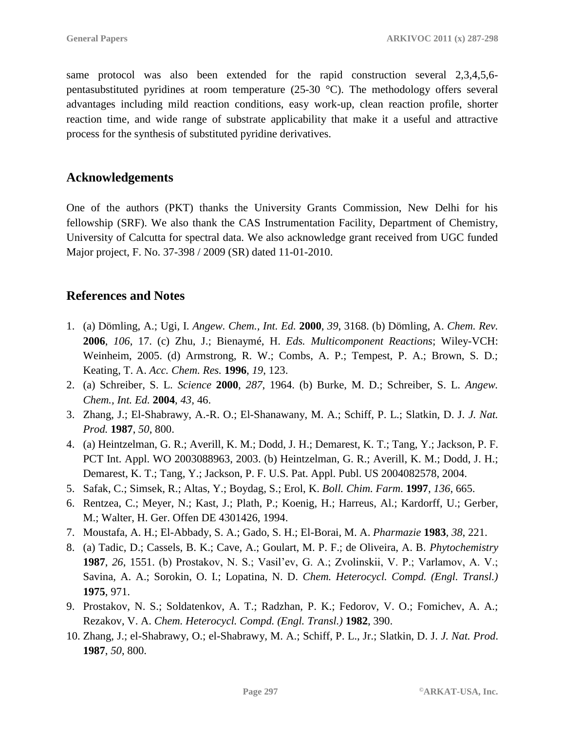same protocol was also been extended for the rapid construction several 2,3,4,5,6 pentasubstituted pyridines at room temperature (25-30 °C). The methodology offers several advantages including mild reaction conditions, easy work-up, clean reaction profile, shorter reaction time, and wide range of substrate applicability that make it a useful and attractive process for the synthesis of substituted pyridine derivatives.

### **Acknowledgements**

One of the authors (PKT) thanks the University Grants Commission, New Delhi for his fellowship (SRF). We also thank the CAS Instrumentation Facility, Department of Chemistry, University of Calcutta for spectral data. We also acknowledge grant received from UGC funded Major project, F. No. 37-398 / 2009 (SR) dated 11-01-2010.

## **References and Notes**

- 1. (a) Dömling, A.; Ugi, I. *Angew. Chem., Int. Ed.* **2000**, *39*, 3168. (b) Dömling, A. *Chem. Rev.*  **2006**, *106*, 17. (c) Zhu, J.; Bienaymé, H. *Eds. Multicomponent Reactions*; Wiley-VCH: Weinheim, 2005. (d) Armstrong, R. W.; Combs, A. P.; Tempest, P. A.; Brown, S. D.; Keating, T. A. *Acc. Chem. Res.* **1996**, *19*, 123.
- 2. (a) Schreiber, S. L. *Science* **2000**, *287*, 1964. (b) Burke, M. D.; Schreiber, S. L. *Angew. Chem., Int. Ed.* **2004**, *43*, 46.
- 3. Zhang, J.; El-Shabrawy, A.-R. O.; El-Shanawany, M. A.; Schiff, P. L.; Slatkin, D. J. *J. Nat. Prod.* **1987**, *50*, 800.
- 4. (a) Heintzelman, G. R.; Averill, K. M.; Dodd, J. H.; Demarest, K. T.; Tang, Y.; Jackson, P. F. PCT Int. Appl. WO 2003088963, 2003. (b) Heintzelman, G. R.; Averill, K. M.; Dodd, J. H.; Demarest, K. T.; Tang, Y.; Jackson, P. F. U.S. Pat. Appl. Publ. US 2004082578, 2004.
- 5. Safak, C.; Simsek, R.; Altas, Y.; Boydag, S.; Erol, K. *Boll. Chim. Farm*. **1997**, *136*, 665.
- 6. Rentzea, C.; Meyer, N.; Kast, J.; Plath, P.; Koenig, H.; Harreus, Al.; Kardorff, U.; Gerber, M.; Walter, H. Ger. Offen DE 4301426, 1994.
- 7. Moustafa, A. H.; El-Abbady, S. A.; Gado, S. H.; El-Borai, M. A. *Pharmazie* **1983**, *38*, 221.
- 8. (a) Tadic, D.; Cassels, B. K.; Cave, A.; Goulart, M. P. F.; de Oliveira, A. B. *Phytochemistry*  **1987**, *26*, 1551. (b) Prostakov, N. S.; Vasil'ev, G. A.; Zvolinskii, V. P.; Varlamov, A. V.; Savina, A. A.; Sorokin, O. I.; Lopatina, N. D. *Chem. Heterocycl. Compd. (Engl. Transl.)* **1975**, 971.
- 9. Prostakov, N. S.; Soldatenkov, A. T.; Radzhan, P. K.; Fedorov, V. O.; Fomichev, A. A.; Rezakov, V. A. *Chem. Heterocycl. Compd. (Engl. Transl.)* **1982**, 390.
- 10. Zhang, J.; el-Shabrawy, O.; el-Shabrawy, M. A.; Schiff, P. L., Jr.; Slatkin, D. J. *J. Nat. Prod*. **1987**, *50*, 800.